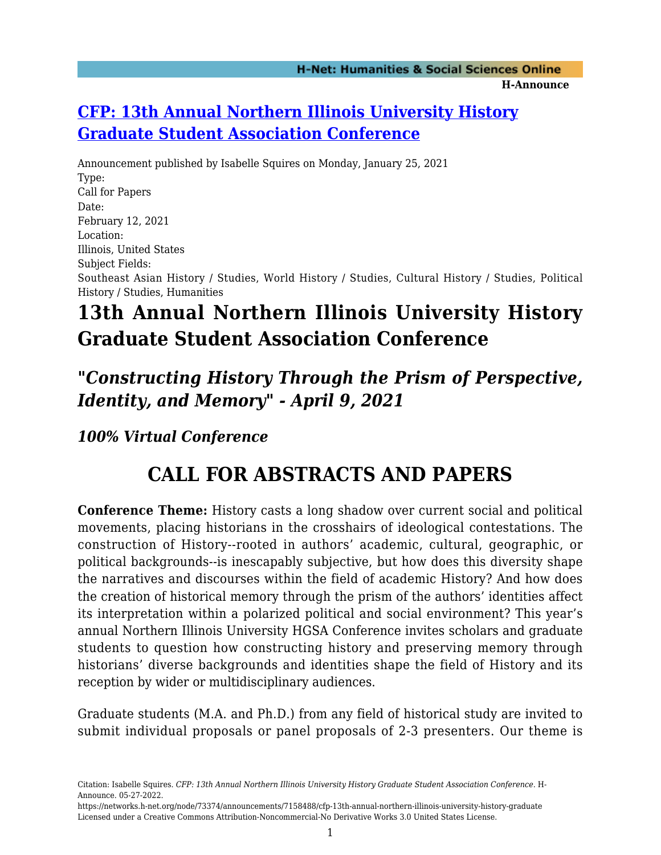### **[CFP: 13th Annual Northern Illinois University History](https://networks.h-net.org/node/73374/announcements/7158488/cfp-13th-annual-northern-illinois-university-history-graduate) [Graduate Student Association Conference](https://networks.h-net.org/node/73374/announcements/7158488/cfp-13th-annual-northern-illinois-university-history-graduate)**

Announcement published by Isabelle Squires on Monday, January 25, 2021 Type: Call for Papers Date: February 12, 2021 Location: Illinois, United States Subject Fields: Southeast Asian History / Studies, World History / Studies, Cultural History / Studies, Political History / Studies, Humanities

# **13th Annual Northern Illinois University History Graduate Student Association Conference**

## *"Constructing History Through the Prism of Perspective, Identity, and Memory" - April 9, 2021*

*100% Virtual Conference*

## **CALL FOR ABSTRACTS AND PAPERS**

**Conference Theme:** History casts a long shadow over current social and political movements, placing historians in the crosshairs of ideological contestations. The construction of History--rooted in authors' academic, cultural, geographic, or political backgrounds--is inescapably subjective, but how does this diversity shape the narratives and discourses within the field of academic History? And how does the creation of historical memory through the prism of the authors' identities affect its interpretation within a polarized political and social environment? This year's annual Northern Illinois University HGSA Conference invites scholars and graduate students to question how constructing history and preserving memory through historians' diverse backgrounds and identities shape the field of History and its reception by wider or multidisciplinary audiences.

Graduate students (M.A. and Ph.D.) from any field of historical study are invited to submit individual proposals or panel proposals of 2-3 presenters. Our theme is

Citation: Isabelle Squires. *CFP: 13th Annual Northern Illinois University History Graduate Student Association Conference*. H-Announce. 05-27-2022.